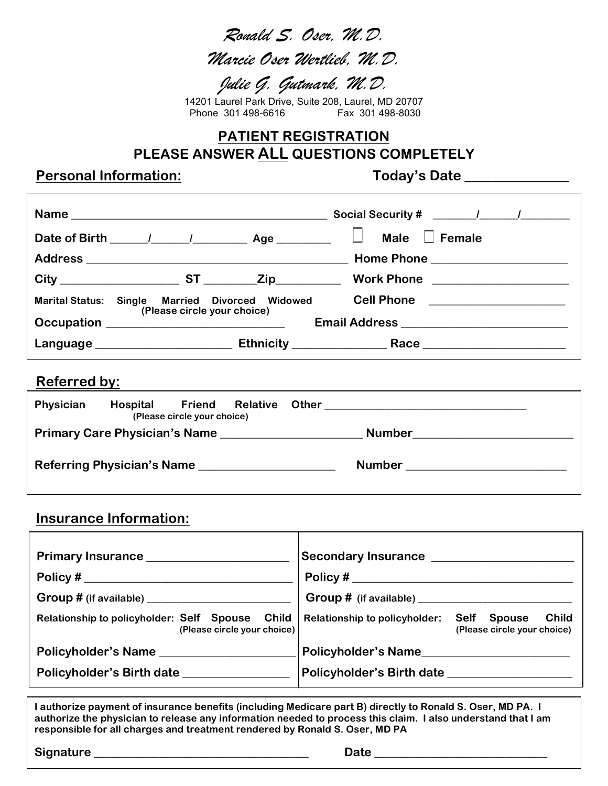*Ronald S. Oser, M.D.*

*Marcie Oser Wertlieb, M.D.*

*Julie G. Gutmark, M.D.*

14201 Laurel Park Drive, Suite 208, Laurel, MD 20707 Phone 301 498-6616 Fax 301 498-8030

# **PATIENT REGISTRATION PLEASE ANSWER ALL QUESTIONS COMPLETELY**

# Personal Information: Today's Date

|                                         | Name              | Social Security # $\frac{1}{\sqrt{1-\frac{1}{2}} \cdot \frac{1}{\sqrt{1-\frac{1}{2}} \cdot \frac{1}{\sqrt{1-\frac{1}{2}} \cdot \frac{1}{\sqrt{1-\frac{1}{2}} \cdot \frac{1}{\sqrt{1-\frac{1}{2}} \cdot \frac{1}{\sqrt{1-\frac{1}{2}} \cdot \frac{1}{\sqrt{1-\frac{1}{2}} \cdot \frac{1}{\sqrt{1-\frac{1}{2}} \cdot \frac{1}{\sqrt{1-\frac{1}{2}} \cdot \frac{1}{\sqrt{1-\frac{1}{2}} \cdot \frac{1}{\sqrt{1-\frac{1}{2}} \cdot \frac{1$ |
|-----------------------------------------|-------------------|-----------------------------------------------------------------------------------------------------------------------------------------------------------------------------------------------------------------------------------------------------------------------------------------------------------------------------------------------------------------------------------------------------------------------------------------|
|                                         |                   | <b>Male <math>\Box</math> Female</b>                                                                                                                                                                                                                                                                                                                                                                                                    |
|                                         |                   |                                                                                                                                                                                                                                                                                                                                                                                                                                         |
|                                         | $City$ $ST$ $Zip$ | Work Phone _____________________                                                                                                                                                                                                                                                                                                                                                                                                        |
| (Please circle your choice)             |                   | Marital Status: Single Married Divorced Widowed Cell Phone [19] Connection of Marital Status: Single Married Divorced Widowed Cell Phone                                                                                                                                                                                                                                                                                                |
| Occupation ____________________________ |                   |                                                                                                                                                                                                                                                                                                                                                                                                                                         |
|                                         |                   | Language ______________________________Ethnicity _______________________________                                                                                                                                                                                                                                                                                                                                                        |

## **Referred by:**

| Physician                            | Hospital | (Please circle your choice) | <b>Friend Relative</b> | <b>Other Contract Contract Contract Contract Contract Contract Contract Contract Contract Contract Contract Contract Contract Contract Contract Contract Contract Contract Contract Contract Contract Contract Contract Contra</b> |  |
|--------------------------------------|----------|-----------------------------|------------------------|------------------------------------------------------------------------------------------------------------------------------------------------------------------------------------------------------------------------------------|--|
| <b>Primary Care Physician's Name</b> |          |                             |                        | <b>Number</b>                                                                                                                                                                                                                      |  |
| Referring Physician's Name           |          |                             |                        | <b>Number</b>                                                                                                                                                                                                                      |  |

# **Insurance Information:**

| Policy # ____________________________                                          | $\text{Policy #} \hspace{0.03in} \hspace{0.03in} \text{\textbf{2}} \hspace{0.03in} \text{\textbf{2}} \hspace{0.03in} \text{\textbf{3}} \hspace{0.03in} \text{\textbf{4}} \hspace{0.03in} \text{\textbf{5}} \hspace{0.03in} \text{\textbf{6}} \hspace{0.03in} \text{\textbf{7}} \hspace{0.03in} \text{\textbf{8}} \hspace{0.03in} \text{\textbf{9}} \hspace{0.03in} \text{\textbf{1}} \hspace{0.03in} \text{\textbf{1}} \hspace{0.$ |
|--------------------------------------------------------------------------------|------------------------------------------------------------------------------------------------------------------------------------------------------------------------------------------------------------------------------------------------------------------------------------------------------------------------------------------------------------------------------------------------------------------------------------|
|                                                                                | Group # (if available) _____________________________                                                                                                                                                                                                                                                                                                                                                                               |
| Relationship to policyholder: Self Spouse Child<br>(Please circle your choice) | Self Spouse<br><b>Child</b><br><b>Relationship to policyholder:</b><br>(Please circle your choice)                                                                                                                                                                                                                                                                                                                                 |
|                                                                                | Policyholder's Name_______________________                                                                                                                                                                                                                                                                                                                                                                                         |
| Policyholder's Birth date                                                      | Policyholder's Birth date __________________                                                                                                                                                                                                                                                                                                                                                                                       |

**I authorize payment of insurance benefits (including Medicare part B) directly to Ronald S. Oser, MD PA. I authorize the physician to release any information needed to process this claim. I also understand that I am responsible for all charges and treatment rendered by Ronald S. Oser, MD PA**

**Signature \_\_\_\_\_\_\_\_\_\_\_\_\_\_\_\_\_\_\_\_\_\_\_\_\_\_\_\_\_\_\_\_\_\_\_\_ Date \_\_\_\_\_\_\_\_\_\_\_\_\_\_\_\_\_\_\_\_\_\_\_\_\_\_\_\_\_**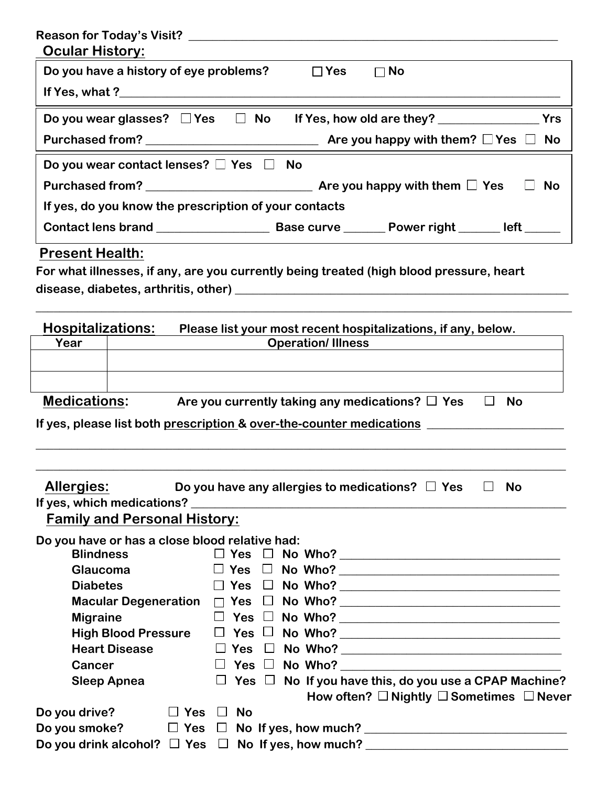| <b>Ocular History:</b>                                |                                                                                         |
|-------------------------------------------------------|-----------------------------------------------------------------------------------------|
| Do you have a history of eye problems?                | $\Box$ Yes<br>$\Box$ No                                                                 |
|                                                       |                                                                                         |
| Do you wear glasses? $\Box$ Yes                       | $\Box$ No If Yes, how old are they? $\Box$ Yrs                                          |
|                                                       |                                                                                         |
| Do you wear contact lenses? $\Box$ Yes $\Box$ No      |                                                                                         |
|                                                       | Purchased from? $\sqrt{2}$ Are you happy with them $\Box$ Yes<br><b>No</b>              |
| If yes, do you know the prescription of your contacts |                                                                                         |
|                                                       |                                                                                         |
| <b>Present Health:</b>                                |                                                                                         |
|                                                       | For what illnesses, if any, are you currently being treated (high blood pressure, heart |
|                                                       |                                                                                         |
|                                                       |                                                                                         |
| Hospitalizations:                                     | Please list your most recent hospitalizations, if any, below.                           |
| Year<br><u> 1990 - Johann Barbara, martin a</u>       | <b>Operation/Illness</b>                                                                |
|                                                       |                                                                                         |
|                                                       |                                                                                         |
| <b>Medications:</b>                                   | Are you currently taking any medications? $\Box$ Yes<br><b>No</b>                       |
|                                                       | If yes, please list both prescription & over-the-counter medications ____________       |
|                                                       |                                                                                         |
| <b>Allergies:</b>                                     | Do you have any allergies to medications? $\Box$ Yes<br><b>No</b><br>$\Box$             |
| <b>Family and Personal History:</b>                   |                                                                                         |
| Do you have or has a close blood relative had:        |                                                                                         |
| <b>Blindness</b>                                      |                                                                                         |
| Glaucoma                                              |                                                                                         |
| <b>Diabetes</b>                                       |                                                                                         |
|                                                       |                                                                                         |
| <b>Migraine</b>                                       |                                                                                         |
| <b>Heart Disease</b>                                  |                                                                                         |
| Cancer                                                |                                                                                         |
| <b>Sleep Apnea</b>                                    | $\Box$ Yes $\Box$ No If you have this, do you use a CPAP Machine?                       |
|                                                       | How often? $\Box$ Nightly $\Box$ Sometimes $\Box$ Never                                 |
| Do you drive?                                         | $\Box$ Yes $\Box$ No                                                                    |
|                                                       | Do you smoke? $\Box$ Yes $\Box$ No If yes, how much? _______________________________    |
|                                                       | Do you drink alcohol? $\Box$ Yes $\Box$ No If yes, how much? ________________________   |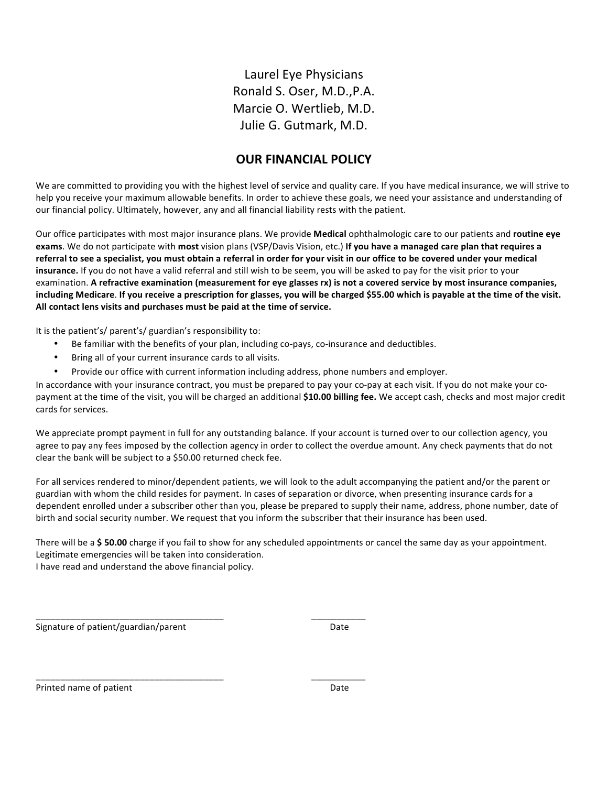Laurel Eye Physicians Ronald S. Oser, M.D., P.A. Marcie O. Wertlieb, M.D. Julie G. Gutmark, M.D.

### **OUR FINANCIAL POLICY**

We are committed to providing you with the highest level of service and quality care. If you have medical insurance, we will strive to help you receive your maximum allowable benefits. In order to achieve these goals, we need your assistance and understanding of our financial policy. Ultimately, however, any and all financial liability rests with the patient.

Our office participates with most major insurance plans. We provide Medical ophthalmologic care to our patients and routine eye exams. We do not participate with most vision plans (VSP/Davis Vision, etc.) If you have a managed care plan that requires a referral to see a specialist, you must obtain a referral in order for your visit in our office to be covered under your medical insurance. If you do not have a valid referral and still wish to be seem, you will be asked to pay for the visit prior to your examination. A refractive examination (measurement for eye glasses rx) is not a covered service by most insurance companies, including Medicare. If you receive a prescription for glasses, you will be charged \$55.00 which is payable at the time of the visit. All contact lens visits and purchases must be paid at the time of service.

It is the patient's/ parent's/ guardian's responsibility to:

- Be familiar with the benefits of your plan, including co-pays, co-insurance and deductibles.
- Bring all of your current insurance cards to all visits.
- Provide our office with current information including address, phone numbers and employer.

In accordance with your insurance contract, you must be prepared to pay your co-pay at each visit. If you do not make your copayment at the time of the visit, you will be charged an additional \$10.00 billing fee. We accept cash, checks and most major credit cards for services.

We appreciate prompt payment in full for any outstanding balance. If your account is turned over to our collection agency, you agree to pay any fees imposed by the collection agency in order to collect the overdue amount. Any check payments that do not clear the bank will be subject to a \$50.00 returned check fee.

For all services rendered to minor/dependent patients, we will look to the adult accompanying the patient and/or the parent or guardian with whom the child resides for payment. In cases of separation or divorce, when presenting insurance cards for a dependent enrolled under a subscriber other than you, please be prepared to supply their name, address, phone number, date of birth and social security number. We request that you inform the subscriber that their insurance has been used.

There will be a \$ 50.00 charge if you fail to show for any scheduled appointments or cancel the same day as your appointment. Legitimate emergencies will be taken into consideration. I have read and understand the above financial policy.

\_\_\_\_\_\_\_\_\_\_\_\_\_\_\_\_\_\_\_\_\_\_\_\_\_\_\_\_\_\_\_\_\_\_\_\_\_\_ \_\_\_\_\_\_\_\_\_\_\_

\_\_\_\_\_\_\_\_\_\_\_\_\_\_\_\_\_\_\_\_\_\_\_\_\_\_\_\_\_\_\_\_\_\_\_\_\_\_ \_\_\_\_\_\_\_\_\_\_\_

Signature of patient/guardian/parent Date 

Printed name of patient **Account 10** and 20 and 20 and 20 and 20 and 20 and 20 and 20 and 20 and 20 and 20 and 20 and 20 and 20 and 20 and 20 and 20 and 20 and 20 and 20 and 20 and 20 and 20 and 20 and 20 and 20 and 20 and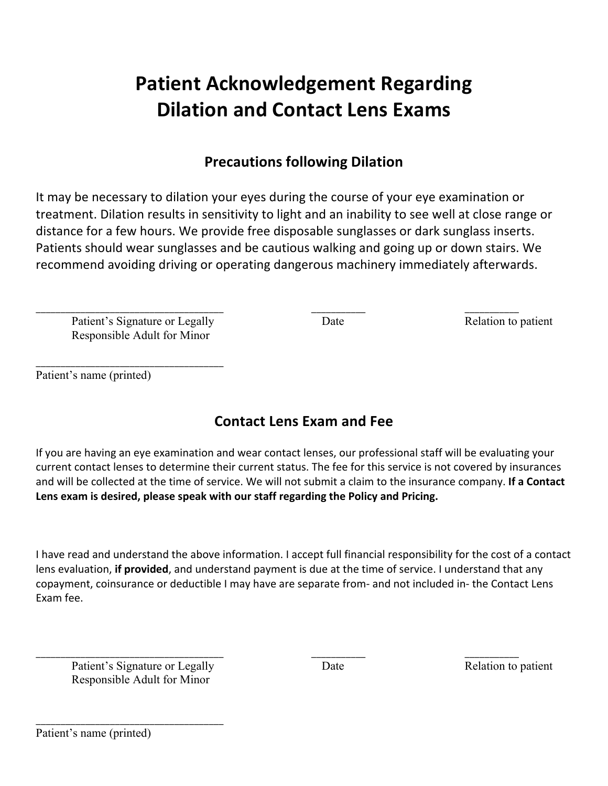# **Patient Acknowledgement Regarding Dilation and Contact Lens Exams**

# **Precautions following Dilation**

It may be necessary to dilation your eyes during the course of your eye examination or treatment. Dilation results in sensitivity to light and an inability to see well at close range or distance for a few hours. We provide free disposable sunglasses or dark sunglass inserts. Patients should wear sunglasses and be cautious walking and going up or down stairs. We recommend avoiding driving or operating dangerous machinery immediately afterwards.

Patient's Signature or Legally Date Date Relation to patient Responsible Adult for Minor

\_\_\_\_\_\_\_\_\_\_\_\_\_\_\_\_\_\_\_\_\_\_\_\_\_\_\_\_\_\_\_\_\_\_\_\_\_\_ 

\_\_\_\_\_\_\_\_\_\_\_\_\_\_\_\_\_\_\_\_\_\_\_\_\_\_\_\_\_\_\_\_\_\_\_\_\_\_ \_\_\_\_\_\_\_\_\_\_\_ \_\_\_\_\_\_\_\_\_\_\_

Patient's name (printed)

# **Contact Lens Exam and Fee**

If you are having an eye examination and wear contact lenses, our professional staff will be evaluating your current contact lenses to determine their current status. The fee for this service is not covered by insurances and will be collected at the time of service. We will not submit a claim to the insurance company. If a Contact Lens exam is desired, please speak with our staff regarding the Policy and Pricing.

I have read and understand the above information. I accept full financial responsibility for the cost of a contact lens evaluation, if provided, and understand payment is due at the time of service. I understand that any copayment, coinsurance or deductible I may have are separate from- and not included in- the Contact Lens Exam fee.

Patient's Signature or Legally Date Date Relation to patient Responsible Adult for Minor

\_\_\_\_\_\_\_\_\_\_\_\_\_\_\_\_\_\_\_\_\_\_\_\_\_\_\_\_\_\_\_\_\_\_\_\_\_\_ 

\_\_\_\_\_\_\_\_\_\_\_\_\_\_\_\_\_\_\_\_\_\_\_\_\_\_\_\_\_\_\_\_\_\_\_\_\_\_ \_\_\_\_\_\_\_\_\_\_\_ \_\_\_\_\_\_\_\_\_\_\_

Patient's name (printed)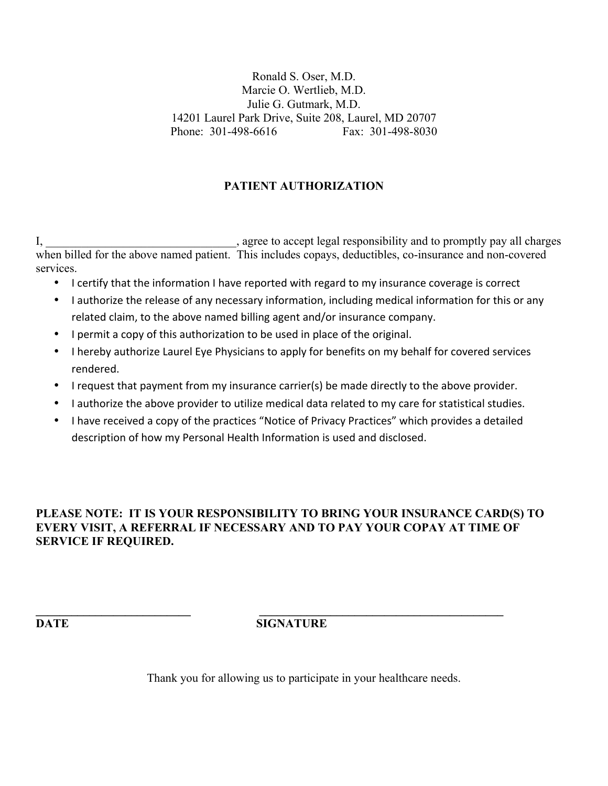Ronald S. Oser, M.D. Marcie O. Wertlieb, M.D. Julie G. Gutmark, M.D. 14201 Laurel Park Drive, Suite 208, Laurel, MD 20707 Phone: 301-498-6616 Fax: 301-498-8030

# **PATIENT AUTHORIZATION**

I, the same of the same of the same of the same of the same of the same of the same of the same of the same of the same of the same of the same of the same of the same of the same of the same of the same of the same of the when billed for the above named patient. This includes copays, deductibles, co-insurance and non-covered services.

- I certify that the information I have reported with regard to my insurance coverage is correct
- I authorize the release of any necessary information, including medical information for this or any related claim, to the above named billing agent and/or insurance company.
- I permit a copy of this authorization to be used in place of the original.
- I hereby authorize Laurel Eye Physicians to apply for benefits on my behalf for covered services rendered.
- I request that payment from my insurance carrier(s) be made directly to the above provider.
- I authorize the above provider to utilize medical data related to my care for statistical studies.
- I have received a copy of the practices "Notice of Privacy Practices" which provides a detailed description of how my Personal Health Information is used and disclosed.

#### **PLEASE NOTE: IT IS YOUR RESPONSIBILITY TO BRING YOUR INSURANCE CARD(S) TO EVERY VISIT, A REFERRAL IF NECESSARY AND TO PAY YOUR COPAY AT TIME OF SERVICE IF REQUIRED.**

**DATE** SIGNATURE

**\_\_\_\_\_\_\_\_\_\_\_\_\_\_\_\_\_\_\_\_\_\_\_\_\_\_ \_\_\_\_\_\_\_\_\_\_\_\_\_\_\_\_\_\_\_\_\_\_\_\_\_\_\_\_\_\_\_\_\_\_\_\_\_\_\_\_\_**

Thank you for allowing us to participate in your healthcare needs.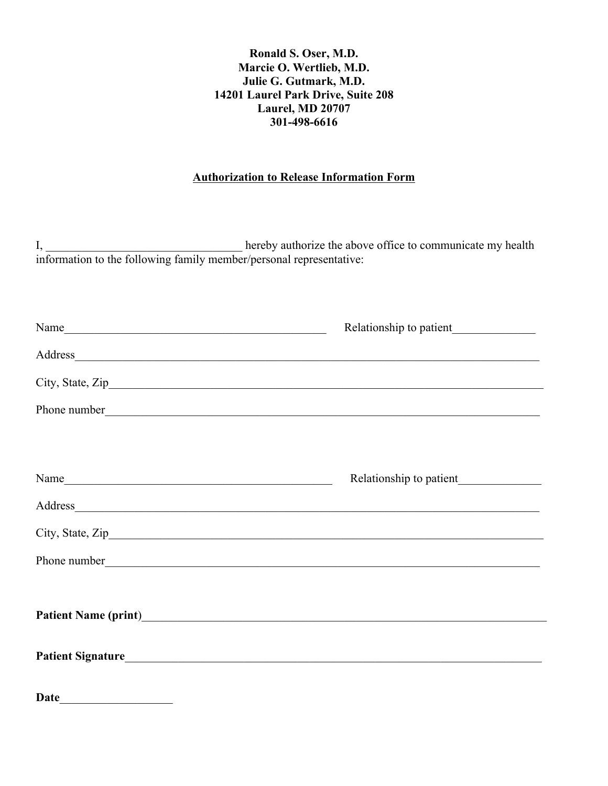#### **Ronald S. Oser, M.D. Marcie O. Wertlieb, M.D. Julie G. Gutmark, M.D. 14201 Laurel Park Drive, Suite 208 Laurel, MD 20707 301-498-6616**

## **Authorization to Release Information Form**

|                                                                     | hereby authorize the above office to communicate my health |
|---------------------------------------------------------------------|------------------------------------------------------------|
| information to the following family member/personal representative: |                                                            |

| Name        |                                                                                                                                                                                                                                    |
|-------------|------------------------------------------------------------------------------------------------------------------------------------------------------------------------------------------------------------------------------------|
|             | Address and the contract of the contract of the contract of the contract of the contract of the contract of the contract of the contract of the contract of the contract of the contract of the contract of the contract of th     |
|             |                                                                                                                                                                                                                                    |
|             | Phone number <u>experience</u> and the contract of the contract of the contract of the contract of the contract of the contract of the contract of the contract of the contract of the contract of the contract of the contract of |
|             |                                                                                                                                                                                                                                    |
|             |                                                                                                                                                                                                                                    |
| Name        |                                                                                                                                                                                                                                    |
|             | Address and the contract of the contract of the contract of the contract of the contract of the contract of the contract of the contract of the contract of the contract of the contract of the contract of the contract of th     |
|             |                                                                                                                                                                                                                                    |
|             |                                                                                                                                                                                                                                    |
|             |                                                                                                                                                                                                                                    |
|             |                                                                                                                                                                                                                                    |
|             |                                                                                                                                                                                                                                    |
|             |                                                                                                                                                                                                                                    |
| <b>Date</b> |                                                                                                                                                                                                                                    |